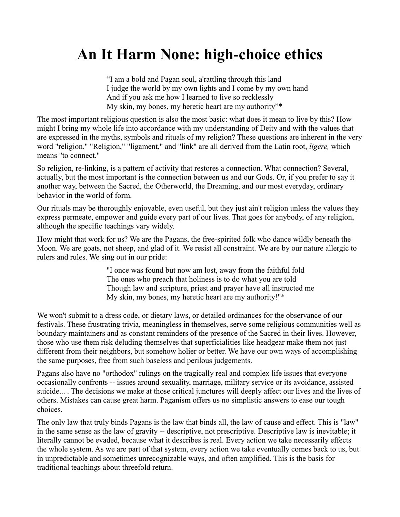## **An It Harm None: high-choice ethics**

"I am a bold and Pagan soul, a'rattling through this land I judge the world by my own lights and I come by my own hand And if you ask me how I learned to live so recklessly My skin, my bones, my heretic heart are my authority"\*

The most important religious question is also the most basic: what does it mean to live by this? How might I bring my whole life into accordance with my understanding of Deity and with the values that are expressed in the myths, symbols and rituals of my religion? These questions are inherent in the very word "religion." "Religion," "ligament," and "link" are all derived from the Latin root, *ligere,* which means "to connect."

So religion, re-linking, is a pattern of activity that restores a connection. What connection? Several, actually, but the most important is the connection between us and our Gods. Or, if you prefer to say it another way, between the Sacred, the Otherworld, the Dreaming, and our most everyday, ordinary behavior in the world of form.

Our rituals may be thoroughly enjoyable, even useful, but they just ain't religion unless the values they express permeate, empower and guide every part of our lives. That goes for anybody, of any religion, although the specific teachings vary widely.

How might that work for us? We are the Pagans, the free-spirited folk who dance wildly beneath the Moon. We are goats, not sheep, and glad of it. We resist all constraint. We are by our nature allergic to rulers and rules. We sing out in our pride:

> "I once was found but now am lost, away from the faithful fold The ones who preach that holiness is to do what you are told Though law and scripture, priest and prayer have all instructed me My skin, my bones, my heretic heart are my authority!"\*

We won't submit to a dress code, or dietary laws, or detailed ordinances for the observance of our festivals. These frustrating trivia, meaningless in themselves, serve some religious communities well as boundary maintainers and as constant reminders of the presence of the Sacred in their lives. However, those who use them risk deluding themselves that superficialities like headgear make them not just different from their neighbors, but somehow holier or better. We have our own ways of accomplishing the same purposes, free from such baseless and perilous judgements.

Pagans also have no "orthodox" rulings on the tragically real and complex life issues that everyone occasionally confronts -- issues around sexuality, marriage, military service or its avoidance, assisted suicide... . The decisions we make at those critical junctures will deeply affect our lives and the lives of others. Mistakes can cause great harm. Paganism offers us no simplistic answers to ease our tough choices.

The only law that truly binds Pagans is the law that binds all, the law of cause and effect. This is "law" in the same sense as the law of gravity -- descriptive, not prescriptive. Descriptive law is inevitable; it literally cannot be evaded, because what it describes is real. Every action we take necessarily effects the whole system. As we are part of that system, every action we take eventually comes back to us, but in unpredictable and sometimes unrecognizable ways, and often amplified. This is the basis for traditional teachings about threefold return.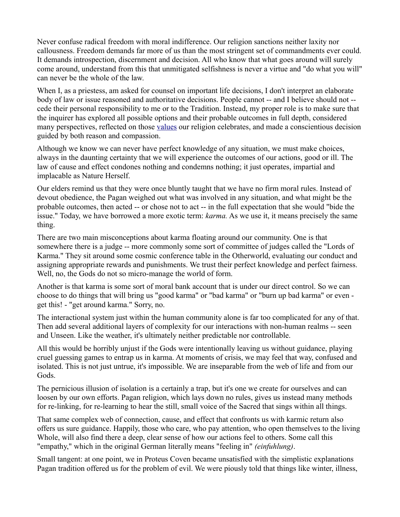Never confuse radical freedom with moral indifference. Our religion sanctions neither laxity nor callousness. Freedom demands far more of us than the most stringent set of commandments ever could. It demands introspection, discernment and decision. All who know that what goes around will surely come around, understand from this that unmitigated selfishness is never a virtue and "do what you will" can never be the whole of the law.

When I, as a priestess, am asked for counsel on important life decisions, I don't interpret an elaborate body of law or issue reasoned and authoritative decisions. People cannot -- and I believe should not - cede their personal responsibility to me or to the Tradition. Instead, my proper role is to make sure that the inquirer has explored all possible options and their probable outcomes in full depth, considered many perspectives, reflected on those [values](http://proteuscoven.com/Values.htm) our religion celebrates, and made a conscientious decision guided by both reason and compassion.

Although we know we can never have perfect knowledge of any situation, we must make choices, always in the daunting certainty that we will experience the outcomes of our actions, good or ill. The law of cause and effect condones nothing and condemns nothing; it just operates, impartial and implacable as Nature Herself.

Our elders remind us that they were once bluntly taught that we have no firm moral rules. Instead of devout obedience, the Pagan weighed out what was involved in any situation, and what might be the probable outcomes, then acted -- or chose not to act -- in the full expectation that she would "bide the issue." Today, we have borrowed a more exotic term: *karma.* As we use it, it means precisely the same thing.

There are two main misconceptions about karma floating around our community. One is that somewhere there is a judge -- more commonly some sort of committee of judges called the "Lords of Karma." They sit around some cosmic conference table in the Otherworld, evaluating our conduct and assigning appropriate rewards and punishments. We trust their perfect knowledge and perfect fairness. Well, no, the Gods do not so micro-manage the world of form.

Another is that karma is some sort of moral bank account that is under our direct control. So we can choose to do things that will bring us "good karma" or "bad karma" or "burn up bad karma" or even get this! - "get around karma." Sorry, no.

The interactional system just within the human community alone is far too complicated for any of that. Then add several additional layers of complexity for our interactions with non-human realms -- seen and Unseen. Like the weather, it's ultimately neither predictable nor controllable.

All this would be horribly unjust if the Gods were intentionally leaving us without guidance, playing cruel guessing games to entrap us in karma. At moments of crisis, we may feel that way, confused and isolated. This is not just untrue, it's impossible. We are inseparable from the web of life and from our Gods.

The pernicious illusion of isolation is a certainly a trap, but it's one we create for ourselves and can loosen by our own efforts. Pagan religion, which lays down no rules, gives us instead many methods for re-linking, for re-learning to hear the still, small voice of the Sacred that sings within all things.

That same complex web of connection, cause, and effect that confronts us with karmic return also offers us sure guidance. Happily, those who care, who pay attention, who open themselves to the living Whole, will also find there a deep, clear sense of how our actions feel to others. Some call this "empathy," which in the original German literally means "feeling in" *(einfuhlung)*.

Small tangent: at one point, we in Proteus Coven became unsatisfied with the simplistic explanations Pagan tradition offered us for the problem of evil. We were piously told that things like winter, illness,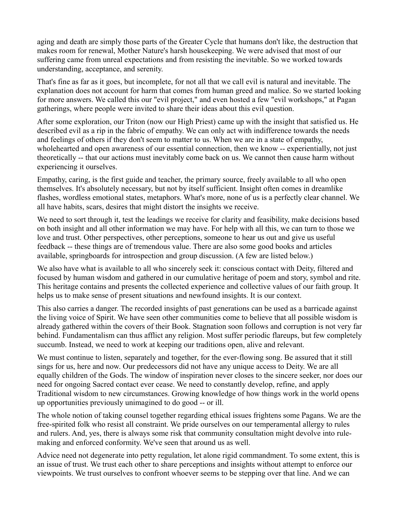aging and death are simply those parts of the Greater Cycle that humans don't like, the destruction that makes room for renewal, Mother Nature's harsh housekeeping. We were advised that most of our suffering came from unreal expectations and from resisting the inevitable. So we worked towards understanding, acceptance, and serenity.

That's fine as far as it goes, but incomplete, for not all that we call evil is natural and inevitable. The explanation does not account for harm that comes from human greed and malice. So we started looking for more answers. We called this our "evil project," and even hosted a few "evil workshops," at Pagan gatherings, where people were invited to share their ideas about this evil question.

After some exploration, our Triton (now our High Priest) came up with the insight that satisfied us. He described evil as a rip in the fabric of empathy. We can only act with indifference towards the needs and feelings of others if they don't seem to matter to us. When we are in a state of empathy, wholehearted and open awareness of our essential connection, then we know -- experientially, not just theoretically -- that our actions must inevitably come back on us. We cannot then cause harm without experiencing it ourselves.

Empathy, caring, is the first guide and teacher, the primary source, freely available to all who open themselves. It's absolutely necessary, but not by itself sufficient. Insight often comes in dreamlike flashes, wordless emotional states, metaphors. What's more, none of us is a perfectly clear channel. We all have habits, scars, desires that might distort the insights we receive.

We need to sort through it, test the leadings we receive for clarity and feasibility, make decisions based on both insight and all other information we may have. For help with all this, we can turn to those we love and trust. Other perspectives, other perceptions, someone to hear us out and give us useful feedback -- these things are of tremendous value. There are also some good books and articles available, springboards for introspection and group discussion. (A few are listed below.)

We also have what is available to all who sincerely seek it: conscious contact with Deity, filtered and focused by human wisdom and gathered in our cumulative heritage of poem and story, symbol and rite. This heritage contains and presents the collected experience and collective values of our faith group. It helps us to make sense of present situations and newfound insights. It is our context.

This also carries a danger. The recorded insights of past generations can be used as a barricade against the living voice of Spirit. We have seen other communities come to believe that all possible wisdom is already gathered within the covers of their Book. Stagnation soon follows and corruption is not very far behind. Fundamentalism can thus afflict any religion. Most suffer periodic flareups, but few completely succumb. Instead, we need to work at keeping our traditions open, alive and relevant.

We must continue to listen, separately and together, for the ever-flowing song. Be assured that it still sings for us, here and now. Our predecessors did not have any unique access to Deity. We are all equally children of the Gods. The window of inspiration never closes to the sincere seeker, nor does our need for ongoing Sacred contact ever cease. We need to constantly develop, refine, and apply Traditional wisdom to new circumstances. Growing knowledge of how things work in the world opens up opportunities previously unimagined to do good -- or ill.

The whole notion of taking counsel together regarding ethical issues frightens some Pagans. We are the free-spirited folk who resist all constraint. We pride ourselves on our temperamental allergy to rules and rulers. And, yes, there is always some risk that community consultation might devolve into rulemaking and enforced conformity. We've seen that around us as well.

Advice need not degenerate into petty regulation, let alone rigid commandment. To some extent, this is an issue of trust. We trust each other to share perceptions and insights without attempt to enforce our viewpoints. We trust ourselves to confront whoever seems to be stepping over that line. And we can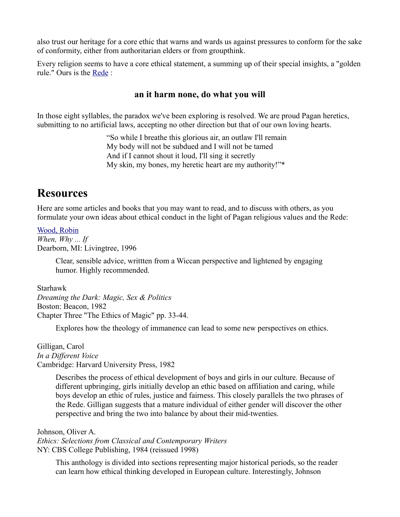also trust our heritage for a core ethic that warns and wards us against pressures to conform for the sake of conformity, either from authoritarian elders or from groupthink.

Every religion seems to have a core ethical statement, a summing up of their special insights, a "golden rule." Ours is the [Rede](http://proteuscoven.com/rede.htm) :

## **an it harm none, do what you will**

In those eight syllables, the paradox we've been exploring is resolved. We are proud Pagan heretics, submitting to no artificial laws, accepting no other direction but that of our own loving hearts.

> "So while I breathe this glorious air, an outlaw I'll remain My body will not be subdued and I will not be tamed And if I cannot shout it loud, I'll sing it secretly My skin, my bones, my heretic heart are my authority!"\*

## **Resources**

Here are some articles and books that you may want to read, and to discuss with others, as you formulate your own ideas about ethical conduct in the light of Pagan religious values and the Rede:

[Wood, Robin](http://www.robinwood.com/Livingtree.html) *When, Why ... If* Dearborn, MI: Livingtree, 1996

> Clear, sensible advice, writtten from a Wiccan perspective and lightened by engaging humor. Highly recommended.

Starhawk *Dreaming the Dark: Magic, Sex & Politics* Boston: Beacon, 1982 Chapter Three "The Ethics of Magic" pp. 33-44.

Explores how the theology of immanence can lead to some new perspectives on ethics.

Gilligan, Carol *In a Different Voice* Cambridge: Harvard University Press, 1982

> Describes the process of ethical development of boys and girls in our culture. Because of different upbringing, girls initially develop an ethic based on affiliation and caring, while boys develop an ethic of rules, justice and fairness. This closely parallels the two phrases of the Rede. Gilligan suggests that a mature individual of either gender will discover the other perspective and bring the two into balance by about their mid-twenties.

Johnson, Oliver A. *Ethics: Selections from Classical and Contemporary Writers* NY: CBS College Publishing, 1984 (reissued 1998)

This anthology is divided into sections representing major historical periods, so the reader can learn how ethical thinking developed in European culture. Interestingly, Johnson